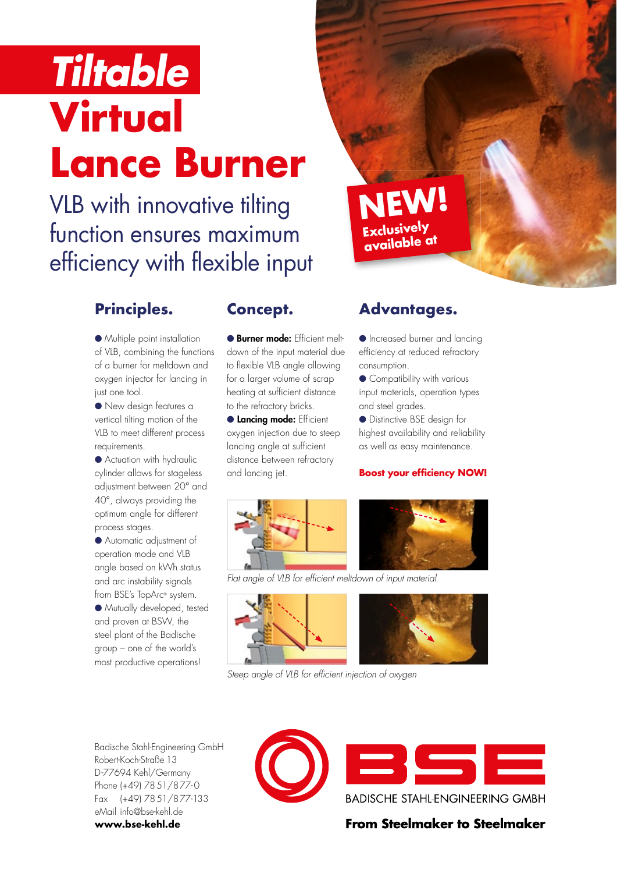# *Tiltable* **Virtual Lance Burner**

## VLB with innovative tilting function ensures maximum efficiency with flexible input

### **Principles.**

● Multiple point installation of VLB, combining the functions of a burner for meltdown and oxygen injector for lancing in just one tool.

● New design features a vertical tilting motion of the VLB to meet different process requirements.

● Actuation with hydraulic cylinder allows for stageless adjustment between 20° and 40°, always providing the optimum angle for different process stages.

● Automatic adjustment of operation mode and VLB angle based on kWh status and arc instability signals from BSE's TopArc® system. ● Mutually developed, tested and proven at BSW, the steel plant of the Badische group – one of the world's most productive operations!

#### **Concept.**

● Burner mode: Ffficient meltdown of the input material due to flexible VLB angle allowing for a larger volume of scrap heating at sufficient distance to the refractory bricks.

**Cancing mode: Efficient** oxygen injection due to steep lancing angle at sufficient distance between refractory and lancing jet.

#### **Advantages.**

● Increased burner and lancing efficiency at reduced refractory consumption.

● Compatibility with various input materials, operation types and steel grades.

● Distinctive BSE design for highest availability and reliability as well as easy maintenance.

#### **Boost your efficiency NOW!**





*Flat angle of VLB for efficient meltdown of input material*





*Steep angle of VLB for efficient injection of oxygen*

Badische Stahl-Engineering GmbH Robert-Koch-Straße 13 D-77694 Kehl/Germany Phone (+49) 7851/877-0 Fax (+49) 7851/877-133 eMail info@bse-kehl.de **www.bse-kehl.de**



**From Steelmaker to Steelmaker**